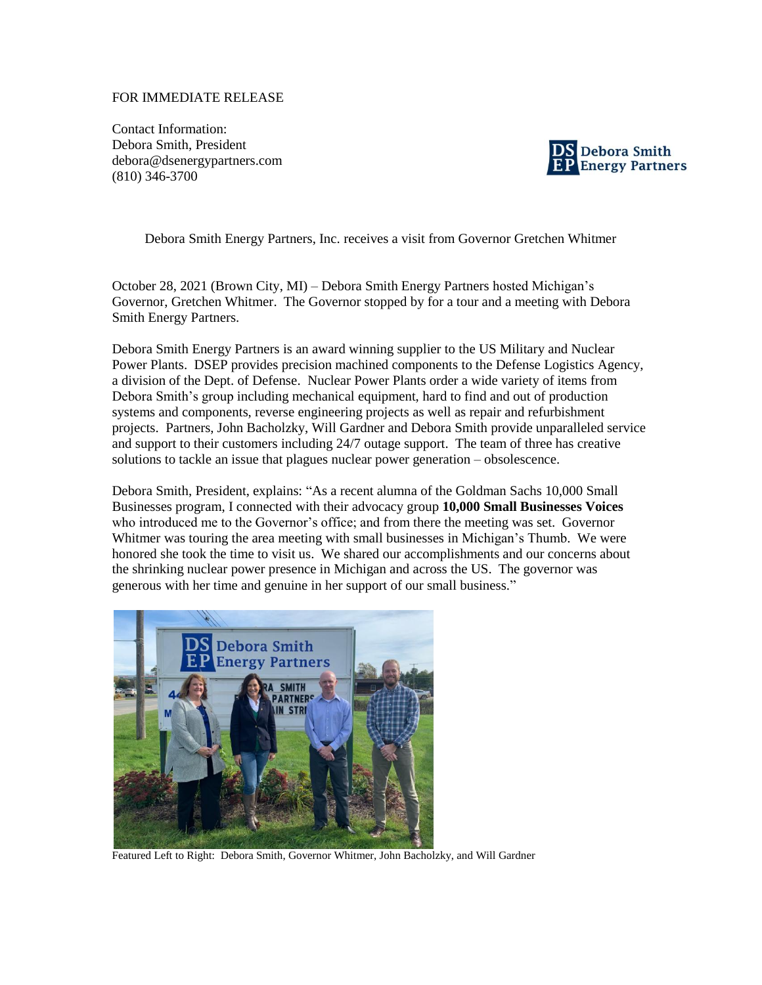## FOR IMMEDIATE RELEASE

Contact Information: Debora Smith, President debora@dsenergypartners.com (810) 346-3700



Debora Smith Energy Partners, Inc. receives a visit from Governor Gretchen Whitmer

October 28, 2021 (Brown City, MI) – Debora Smith Energy Partners hosted Michigan's Governor, Gretchen Whitmer. The Governor stopped by for a tour and a meeting with Debora Smith Energy Partners.

Debora Smith Energy Partners is an award winning supplier to the US Military and Nuclear Power Plants. DSEP provides precision machined components to the Defense Logistics Agency, a division of the Dept. of Defense. Nuclear Power Plants order a wide variety of items from Debora Smith's group including mechanical equipment, hard to find and out of production systems and components, reverse engineering projects as well as repair and refurbishment projects. Partners, John Bacholzky, Will Gardner and Debora Smith provide unparalleled service and support to their customers including 24/7 outage support. The team of three has creative solutions to tackle an issue that plagues nuclear power generation – obsolescence.

Debora Smith, President, explains: "As a recent alumna of the Goldman Sachs 10,000 Small Businesses program, I connected with their advocacy group **10,000 Small Businesses Voices** who introduced me to the Governor's office; and from there the meeting was set. Governor Whitmer was touring the area meeting with small businesses in Michigan's Thumb. We were honored she took the time to visit us. We shared our accomplishments and our concerns about the shrinking nuclear power presence in Michigan and across the US. The governor was generous with her time and genuine in her support of our small business."



Featured Left to Right: Debora Smith, Governor Whitmer, John Bacholzky, and Will Gardner